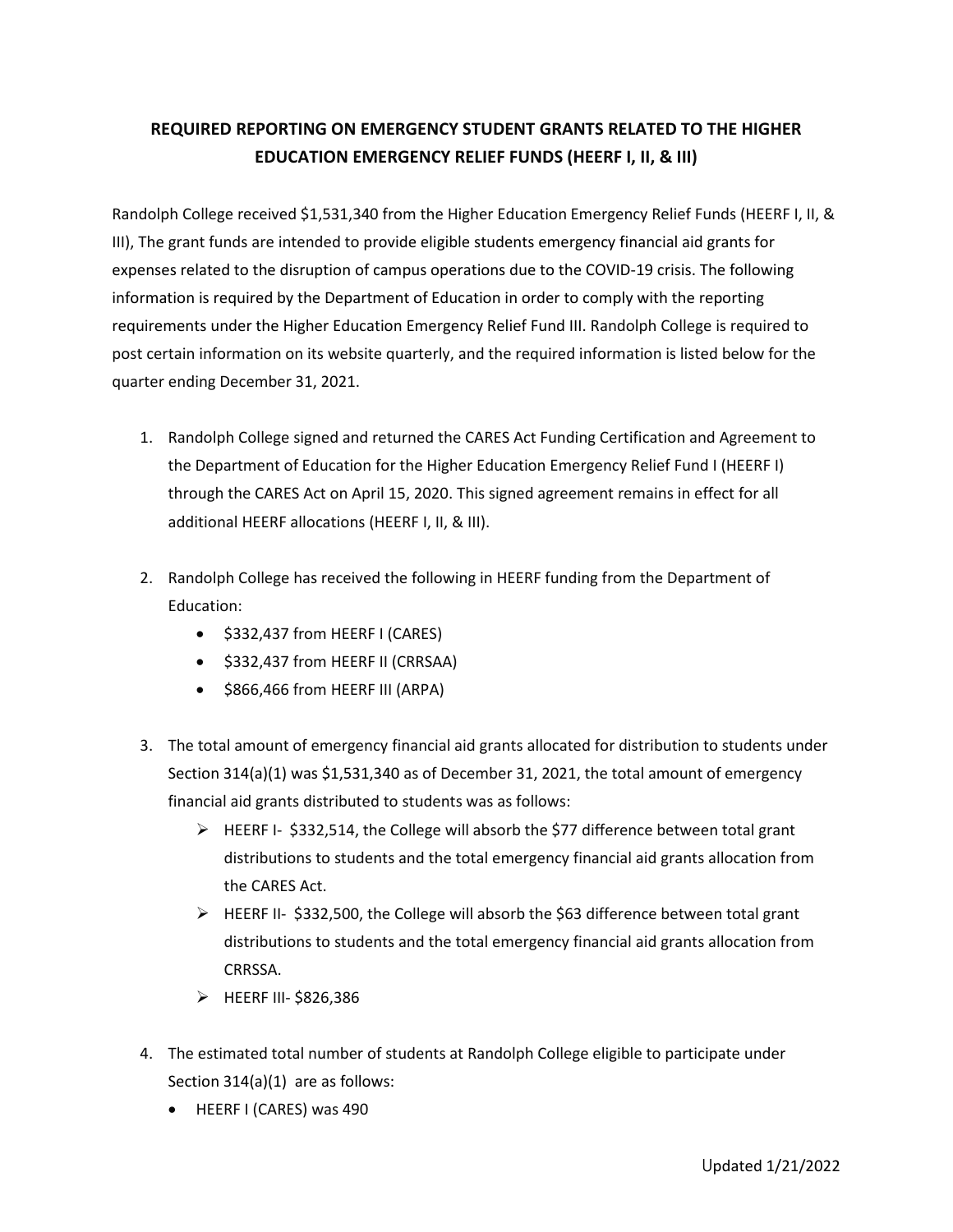## **REQUIRED REPORTING ON EMERGENCY STUDENT GRANTS RELATED TO THE HIGHER EDUCATION EMERGENCY RELIEF FUNDS (HEERF I, II, & III)**

Randolph College received \$1,531,340 from the Higher Education Emergency Relief Funds (HEERF I, II, & III), The grant funds are intended to provide eligible students emergency financial aid grants for expenses related to the disruption of campus operations due to the COVID-19 crisis. The following information is required by the Department of Education in order to comply with the reporting requirements under the Higher Education Emergency Relief Fund III. Randolph College is required to post certain information on its website quarterly, and the required information is listed below for the quarter ending December 31, 2021.

- 1. Randolph College signed and returned the CARES Act Funding Certification and Agreement to the Department of Education for the Higher Education Emergency Relief Fund I (HEERF I) through the CARES Act on April 15, 2020. This signed agreement remains in effect for all additional HEERF allocations (HEERF I, II, & III).
- 2. Randolph College has received the following in HEERF funding from the Department of Education:
	- \$332,437 from HEERF I (CARES)
	- \$332,437 from HEERF II (CRRSAA)
	- \$866,466 from HEERF III (ARPA)
- 3. The total amount of emergency financial aid grants allocated for distribution to students under Section 314(a)(1) was \$1,531,340 as of December 31, 2021, the total amount of emergency financial aid grants distributed to students was as follows:
	- $\triangleright$  HEERF I- \$332,514, the College will absorb the \$77 difference between total grant distributions to students and the total emergency financial aid grants allocation from the CARES Act.
	- $\triangleright$  HEERF II- \$332,500, the College will absorb the \$63 difference between total grant distributions to students and the total emergency financial aid grants allocation from CRRSSA.
	- $\triangleright$  HEERF III- \$826,386
- 4. The estimated total number of students at Randolph College eligible to participate under Section 314(a)(1) are as follows:
	- HEERF I (CARES) was 490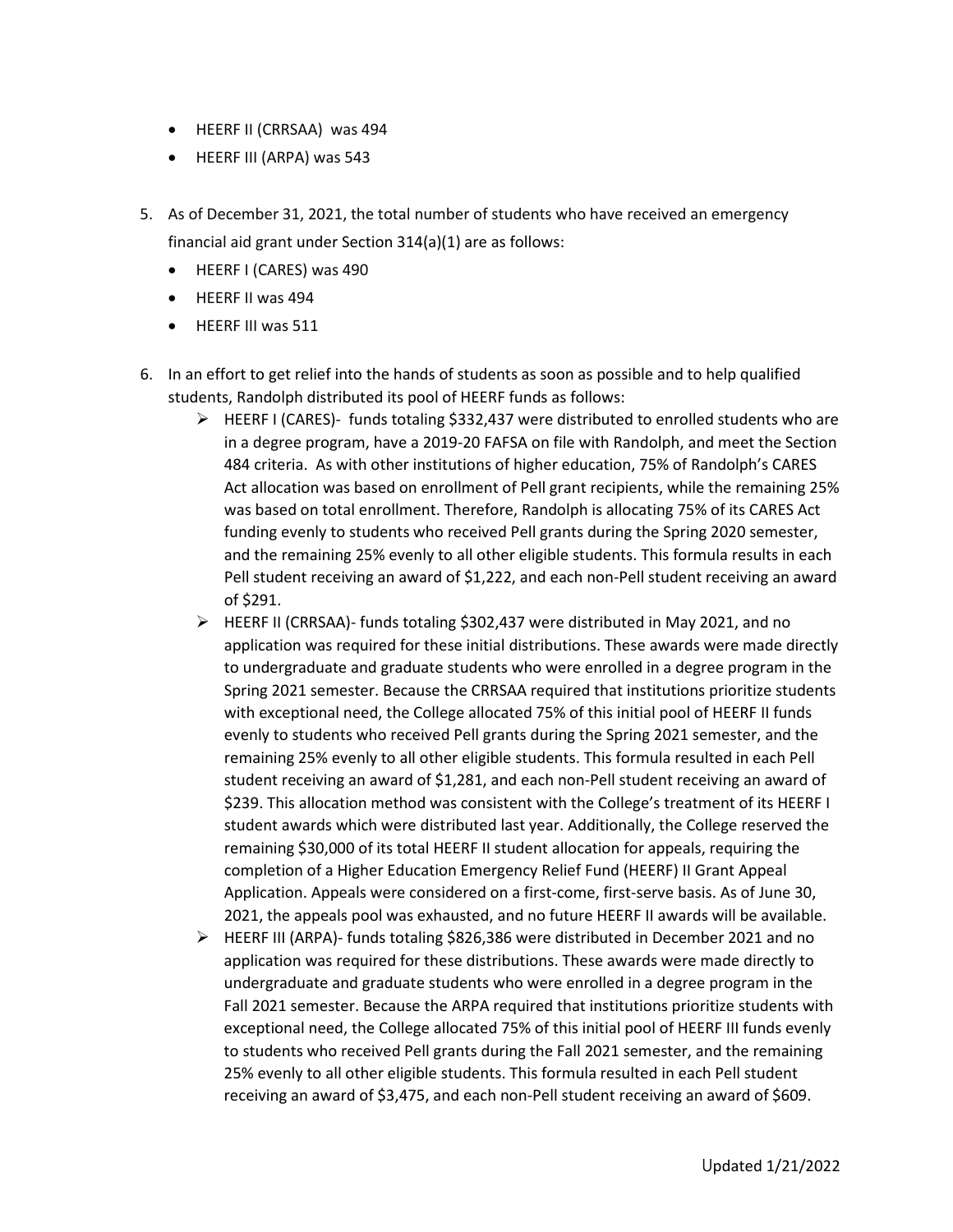- HEERF II (CRRSAA) was 494
- HEERF III (ARPA) was 543
- 5. As of December 31, 2021, the total number of students who have received an emergency financial aid grant under Section 314(a)(1) are as follows:
	- HEERF I (CARES) was 490
	- HEERF II was 494
	- HEERF III was 511
- 6. In an effort to get relief into the hands of students as soon as possible and to help qualified students, Randolph distributed its pool of HEERF funds as follows:
	- $\triangleright$  HEERF I (CARES)- funds totaling \$332,437 were distributed to enrolled students who are in a degree program, have a 2019-20 FAFSA on file with Randolph, and meet the Section 484 criteria. As with other institutions of higher education, 75% of Randolph's CARES Act allocation was based on enrollment of Pell grant recipients, while the remaining 25% was based on total enrollment. Therefore, Randolph is allocating 75% of its CARES Act funding evenly to students who received Pell grants during the Spring 2020 semester, and the remaining 25% evenly to all other eligible students. This formula results in each Pell student receiving an award of \$1,222, and each non-Pell student receiving an award of \$291.
	- HEERF II (CRRSAA)- funds totaling \$302,437 were distributed in May 2021, and no application was required for these initial distributions. These awards were made directly to undergraduate and graduate students who were enrolled in a degree program in the Spring 2021 semester. Because the CRRSAA required that institutions prioritize students with exceptional need, the College allocated 75% of this initial pool of HEERF II funds evenly to students who received Pell grants during the Spring 2021 semester, and the remaining 25% evenly to all other eligible students. This formula resulted in each Pell student receiving an award of \$1,281, and each non-Pell student receiving an award of \$239. This allocation method was consistent with the College's treatment of its HEERF I student awards which were distributed last year. Additionally, the College reserved the remaining \$30,000 of its total HEERF II student allocation for appeals, requiring the completion of a Higher Education Emergency Relief Fund (HEERF) II Grant Appeal Application. Appeals were considered on a first-come, first-serve basis. As of June 30, 2021, the appeals pool was exhausted, and no future HEERF II awards will be available.
	- $\triangleright$  HEERF III (ARPA)- funds totaling \$826,386 were distributed in December 2021 and no application was required for these distributions. These awards were made directly to undergraduate and graduate students who were enrolled in a degree program in the Fall 2021 semester. Because the ARPA required that institutions prioritize students with exceptional need, the College allocated 75% of this initial pool of HEERF III funds evenly to students who received Pell grants during the Fall 2021 semester, and the remaining 25% evenly to all other eligible students. This formula resulted in each Pell student receiving an award of \$3,475, and each non-Pell student receiving an award of \$609.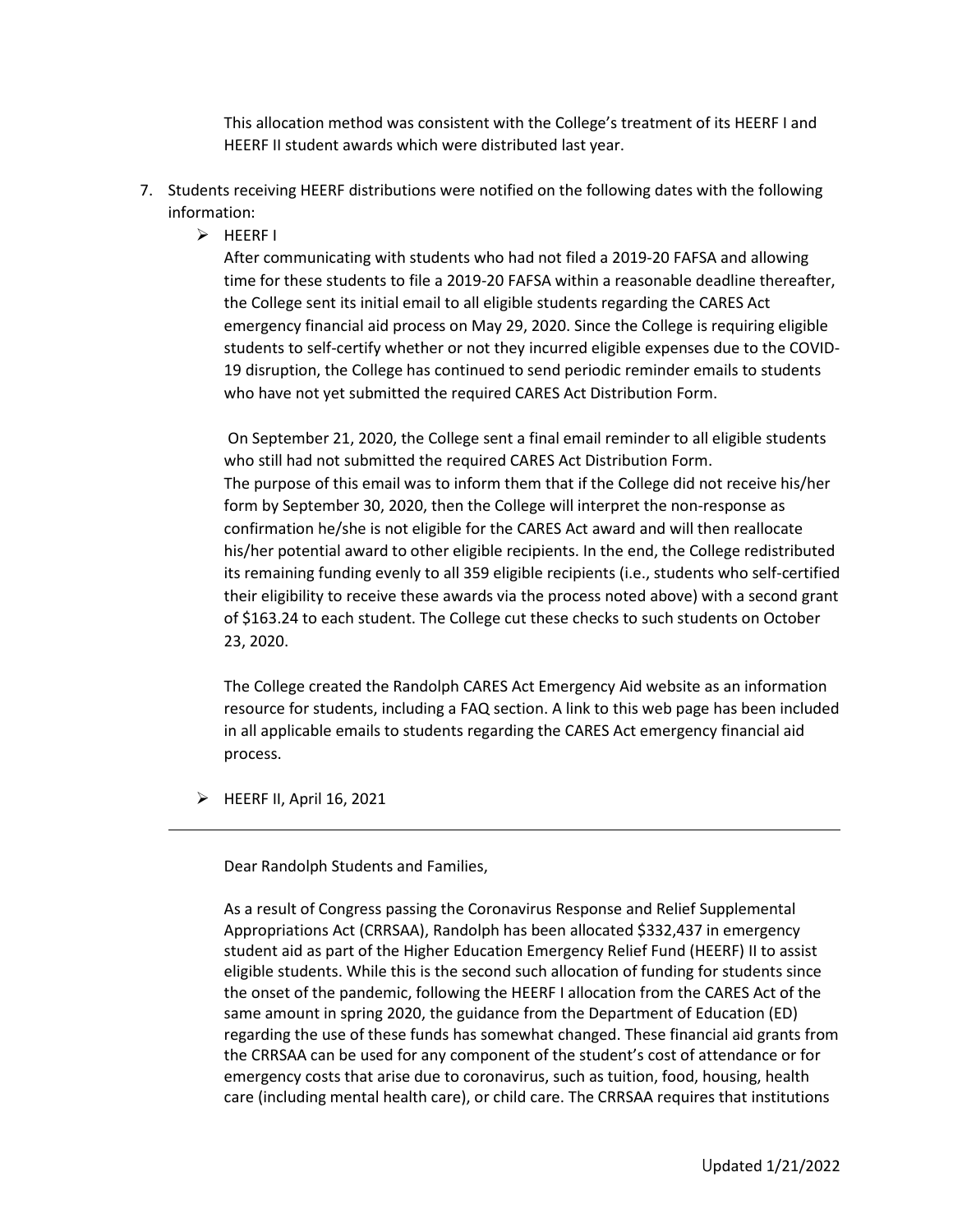This allocation method was consistent with the College's treatment of its HEERF I and HEERF II student awards which were distributed last year.

- 7. Students receiving HEERF distributions were notified on the following dates with the following information:
	- $\triangleright$  HEERF I

After communicating with students who had not filed a 2019-20 FAFSA and allowing time for these students to file a 2019-20 FAFSA within a reasonable deadline thereafter, the College sent its initial email to all eligible students regarding the CARES Act emergency financial aid process on May 29, 2020. Since the College is requiring eligible students to self-certify whether or not they incurred eligible expenses due to the COVID-19 disruption, the College has continued to send periodic reminder emails to students who have not yet submitted the required CARES Act Distribution Form.

On September 21, 2020, the College sent a final email reminder to all eligible students who still had not submitted the required CARES Act Distribution Form. The purpose of this email was to inform them that if the College did not receive his/her form by September 30, 2020, then the College will interpret the non-response as confirmation he/she is not eligible for the CARES Act award and will then reallocate his/her potential award to other eligible recipients. In the end, the College redistributed its remaining funding evenly to all 359 eligible recipients (i.e., students who self-certified their eligibility to receive these awards via the process noted above) with a second grant of \$163.24 to each student. The College cut these checks to such students on October 23, 2020.

The College created the Randolph CARES Act Emergency Aid website as an information resource for students, including a FAQ section. A link to this web page has been included in all applicable emails to students regarding the CARES Act emergency financial aid process.

 $\triangleright$  HEERF II, April 16, 2021

Dear Randolph Students and Families,

As a result of Congress passing the Coronavirus Response and Relief Supplemental Appropriations Act (CRRSAA), Randolph has been allocated \$332,437 in emergency student aid as part of the Higher Education Emergency Relief Fund (HEERF) II to assist eligible students. While this is the second such allocation of funding for students since the onset of the pandemic, following the HEERF I allocation from the CARES Act of the same amount in spring 2020, the guidance from the Department of Education (ED) regarding the use of these funds has somewhat changed. These financial aid grants from the CRRSAA can be used for any component of the student's cost of attendance or for emergency costs that arise due to coronavirus, such as tuition, food, housing, health care (including mental health care), or child care. The CRRSAA requires that institutions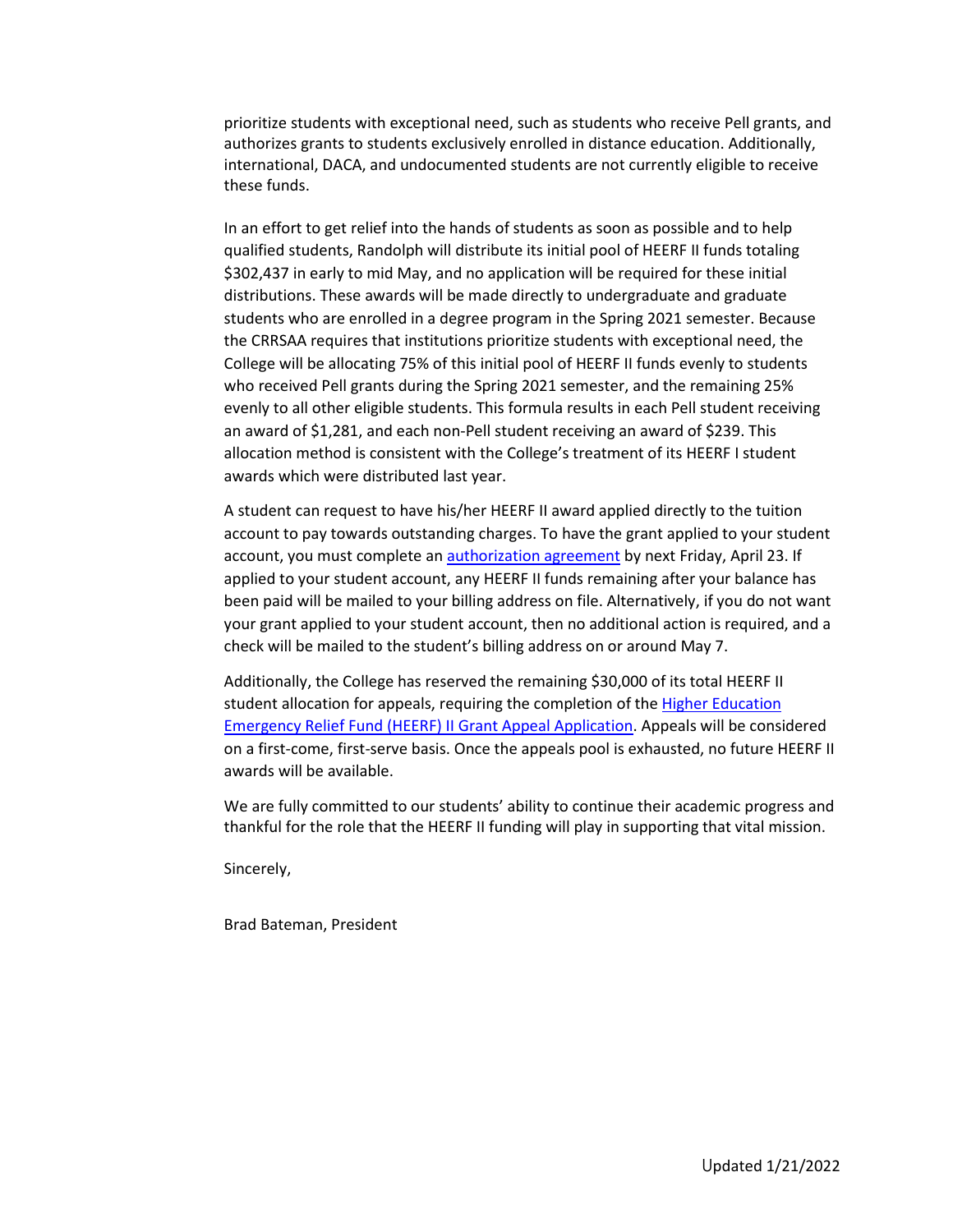prioritize students with exceptional need, such as students who receive Pell grants, and authorizes grants to students exclusively enrolled in distance education. Additionally, international, DACA, and undocumented students are not currently eligible to receive these funds.

In an effort to get relief into the hands of students as soon as possible and to help qualified students, Randolph will distribute its initial pool of HEERF II funds totaling \$302,437 in early to mid May, and no application will be required for these initial distributions. These awards will be made directly to undergraduate and graduate students who are enrolled in a degree program in the Spring 2021 semester. Because the CRRSAA requires that institutions prioritize students with exceptional need, the College will be allocating 75% of this initial pool of HEERF II funds evenly to students who received Pell grants during the Spring 2021 semester, and the remaining 25% evenly to all other eligible students. This formula results in each Pell student receiving an award of \$1,281, and each non-Pell student receiving an award of \$239. This allocation method is consistent with the College's treatment of its HEERF I student awards which were distributed last year.

A student can request to have his/her HEERF II award applied directly to the tuition account to pay towards outstanding charges. To have the grant applied to your student account, you must complete an [authorization agreement](https://docs.google.com/forms/d/e/1FAIpQLSfbMAZZHACheETrp7lDUrqmFXr2F5brEzkFkIxjYWwsXLhEYg/viewform?usp=sf_link) by next Friday, April 23. If applied to your student account, any HEERF II funds remaining after your balance has been paid will be mailed to your billing address on file. Alternatively, if you do not want your grant applied to your student account, then no additional action is required, and a check will be mailed to the student's billing address on or around May 7.

Additionally, the College has reserved the remaining \$30,000 of its total HEERF II student allocation for appeals, requiring the completion of the **Higher Education** [Emergency Relief Fund \(HEERF\) II Grant Appeal Application.](https://docs.google.com/forms/d/e/1FAIpQLScc5zFQ2sMO50aRGQ3H84zC31XnuG3vZ7X2OKn2ZaaOPn_qxQ/viewform?usp=sf_link) Appeals will be considered on a first-come, first-serve basis. Once the appeals pool is exhausted, no future HEERF II awards will be available.

We are fully committed to our students' ability to continue their academic progress and thankful for the role that the HEERF II funding will play in supporting that vital mission.

Sincerely,

Brad Bateman, President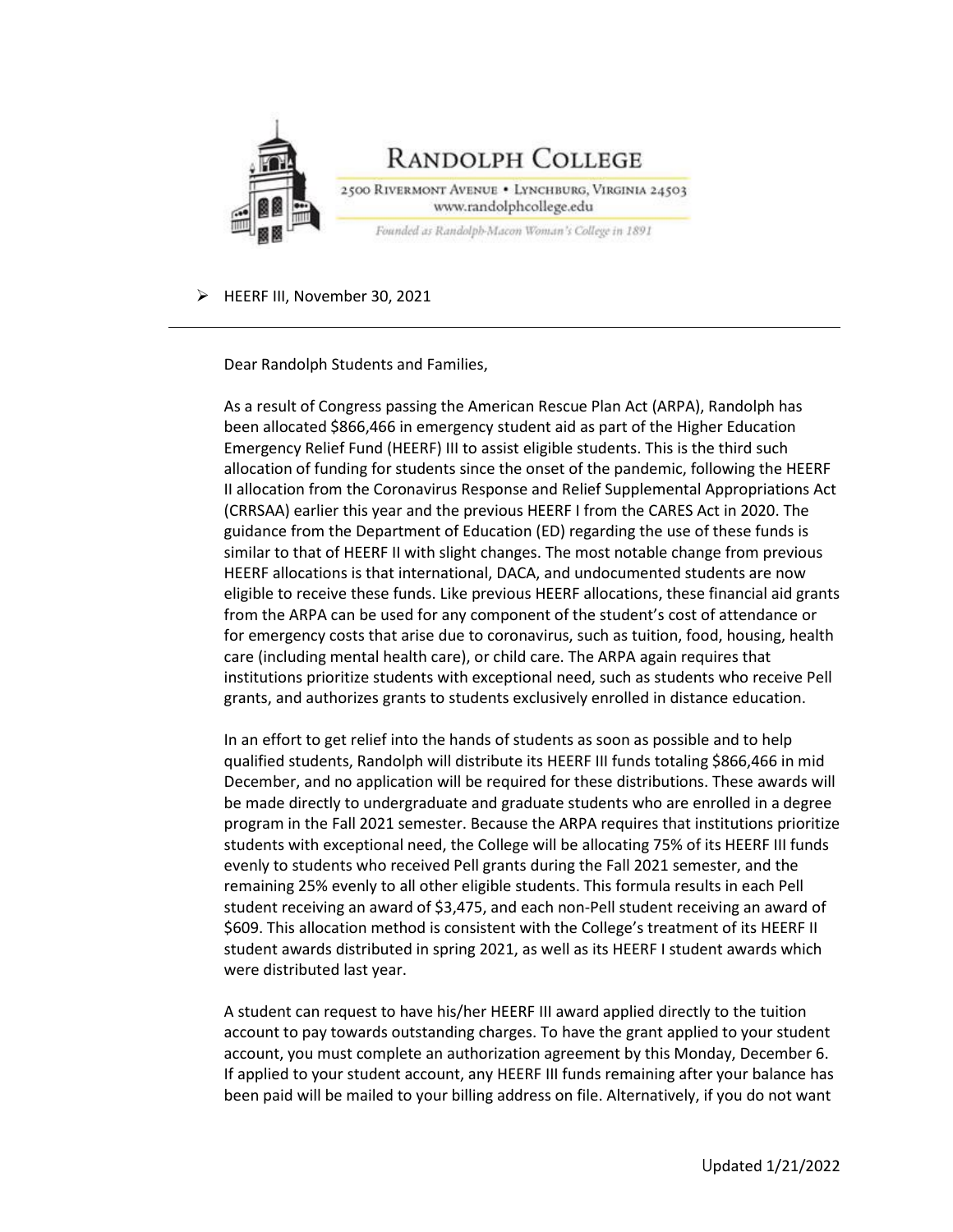

HEERF III, November 30, 2021

Dear Randolph Students and Families,

As a result of Congress passing the American Rescue Plan Act (ARPA), Randolph has been allocated \$866,466 in emergency student aid as part of the Higher Education Emergency Relief Fund (HEERF) III to assist eligible students. This is the third such allocation of funding for students since the onset of the pandemic, following the HEERF II allocation from the Coronavirus Response and Relief Supplemental Appropriations Act (CRRSAA) earlier this year and the previous HEERF I from the CARES Act in 2020. The guidance from the Department of Education (ED) regarding the use of these funds is similar to that of HEERF II with slight changes. The most notable change from previous HEERF allocations is that international, DACA, and undocumented students are now eligible to receive these funds. Like previous HEERF allocations, these financial aid grants from the ARPA can be used for any component of the student's cost of attendance or for emergency costs that arise due to coronavirus, such as tuition, food, housing, health care (including mental health care), or child care. The ARPA again requires that institutions prioritize students with exceptional need, such as students who receive Pell grants, and authorizes grants to students exclusively enrolled in distance education.

In an effort to get relief into the hands of students as soon as possible and to help qualified students, Randolph will distribute its HEERF III funds totaling \$866,466 in mid December, and no application will be required for these distributions. These awards will be made directly to undergraduate and graduate students who are enrolled in a degree program in the Fall 2021 semester. Because the ARPA requires that institutions prioritize students with exceptional need, the College will be allocating 75% of its HEERF III funds evenly to students who received Pell grants during the Fall 2021 semester, and the remaining 25% evenly to all other eligible students. This formula results in each Pell student receiving an award of \$3,475, and each non-Pell student receiving an award of \$609. This allocation method is consistent with the College's treatment of its HEERF II student awards distributed in spring 2021, as well as its HEERF I student awards which were distributed last year.

A student can request to have his/her HEERF III award applied directly to the tuition account to pay towards outstanding charges. To have the grant applied to your student account, you must complete an authorization agreement by this Monday, December 6. If applied to your student account, any HEERF III funds remaining after your balance has been paid will be mailed to your billing address on file. Alternatively, if you do not want